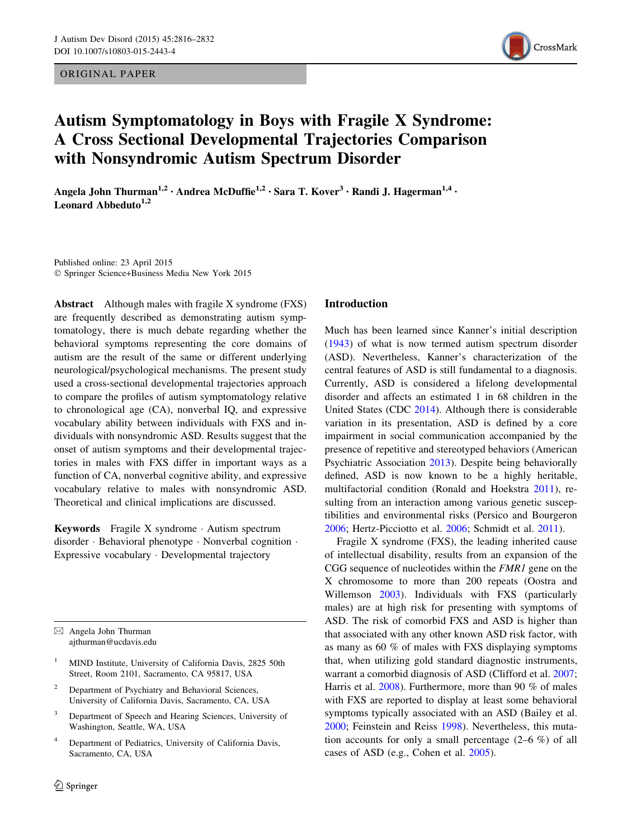ORIGINAL PAPER



# Autism Symptomatology in Boys with Fragile X Syndrome: A Cross Sectional Developmental Trajectories Comparison with Nonsyndromic Autism Spectrum Disorder

Angela John Thurman<sup>1,2</sup> · Andrea McDuffie<sup>1,2</sup> · Sara T. Kover<sup>3</sup> · Randi J. Hagerman<sup>1,4</sup> · Leonard Abbeduto $1,2$ 

Published online: 23 April 2015 - Springer Science+Business Media New York 2015

Abstract Although males with fragile X syndrome (FXS) are frequently described as demonstrating autism symptomatology, there is much debate regarding whether the behavioral symptoms representing the core domains of autism are the result of the same or different underlying neurological/psychological mechanisms. The present study used a cross-sectional developmental trajectories approach to compare the profiles of autism symptomatology relative to chronological age (CA), nonverbal IQ, and expressive vocabulary ability between individuals with FXS and individuals with nonsyndromic ASD. Results suggest that the onset of autism symptoms and their developmental trajectories in males with FXS differ in important ways as a function of CA, nonverbal cognitive ability, and expressive vocabulary relative to males with nonsyndromic ASD. Theoretical and clinical implications are discussed.

Keywords Fragile X syndrome - Autism spectrum disorder - Behavioral phenotype - Nonverbal cognition - Expressive vocabulary - Developmental trajectory

 $\boxtimes$  Angela John Thurman ajthurman@ucdavis.edu

- <sup>1</sup> MIND Institute, University of California Davis, 2825 50th Street, Room 2101, Sacramento, CA 95817, USA
- <sup>2</sup> Department of Psychiatry and Behavioral Sciences, University of California Davis, Sacramento, CA, USA
- <sup>3</sup> Department of Speech and Hearing Sciences, University of Washington, Seattle, WA, USA
- <sup>4</sup> Department of Pediatrics, University of California Davis, Sacramento, CA, USA

## Introduction

Much has been learned since Kanner's initial description [\(1943](#page-15-0)) of what is now termed autism spectrum disorder (ASD). Nevertheless, Kanner's characterization of the central features of ASD is still fundamental to a diagnosis. Currently, ASD is considered a lifelong developmental disorder and affects an estimated 1 in 68 children in the United States (CDC [2014\)](#page-15-0). Although there is considerable variation in its presentation, ASD is defined by a core impairment in social communication accompanied by the presence of repetitive and stereotyped behaviors (American Psychiatric Association [2013\)](#page-14-0). Despite being behaviorally defined, ASD is now known to be a highly heritable, multifactorial condition (Ronald and Hoekstra [2011\)](#page-16-0), resulting from an interaction among various genetic susceptibilities and environmental risks (Persico and Bourgeron [2006](#page-16-0); Hertz-Picciotto et al. [2006](#page-15-0); Schmidt et al. [2011\)](#page-16-0).

Fragile X syndrome (FXS), the leading inherited cause of intellectual disability, results from an expansion of the CGG sequence of nucleotides within the FMR1 gene on the X chromosome to more than 200 repeats (Oostra and Willemson [2003\)](#page-16-0). Individuals with FXS (particularly males) are at high risk for presenting with symptoms of ASD. The risk of comorbid FXS and ASD is higher than that associated with any other known ASD risk factor, with as many as 60 % of males with FXS displaying symptoms that, when utilizing gold standard diagnostic instruments, warrant a comorbid diagnosis of ASD (Clifford et al. [2007](#page-15-0); Harris et al. [2008](#page-15-0)). Furthermore, more than 90 % of males with FXS are reported to display at least some behavioral symptoms typically associated with an ASD (Bailey et al. [2000](#page-14-0); Feinstein and Reiss [1998\)](#page-15-0). Nevertheless, this mutation accounts for only a small percentage (2–6 %) of all cases of ASD (e.g., Cohen et al. [2005](#page-15-0)).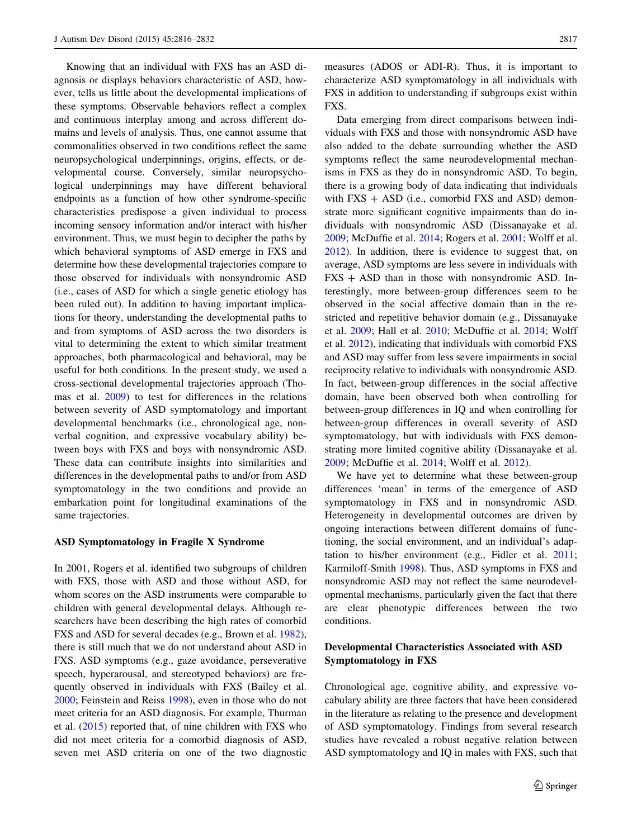Knowing that an individual with FXS has an ASD diagnosis or displays behaviors characteristic of ASD, however, tells us little about the developmental implications of these symptoms. Observable behaviors reflect a complex and continuous interplay among and across different domains and levels of analysis. Thus, one cannot assume that commonalities observed in two conditions reflect the same neuropsychological underpinnings, origins, effects, or developmental course. Conversely, similar neuropsychological underpinnings may have different behavioral endpoints as a function of how other syndrome-specific characteristics predispose a given individual to process incoming sensory information and/or interact with his/her environment. Thus, we must begin to decipher the paths by which behavioral symptoms of ASD emerge in FXS and determine how these developmental trajectories compare to those observed for individuals with nonsyndromic ASD (i.e., cases of ASD for which a single genetic etiology has been ruled out). In addition to having important implications for theory, understanding the developmental paths to and from symptoms of ASD across the two disorders is vital to determining the extent to which similar treatment approaches, both pharmacological and behavioral, may be useful for both conditions. In the present study, we used a cross-sectional developmental trajectories approach (Thomas et al. [2009\)](#page-16-0) to test for differences in the relations between severity of ASD symptomatology and important developmental benchmarks (i.e., chronological age, nonverbal cognition, and expressive vocabulary ability) between boys with FXS and boys with nonsyndromic ASD. These data can contribute insights into similarities and differences in the developmental paths to and/or from ASD symptomatology in the two conditions and provide an embarkation point for longitudinal examinations of the same trajectories.

# ASD Symptomatology in Fragile X Syndrome

In 2001, Rogers et al. identified two subgroups of children with FXS, those with ASD and those without ASD, for whom scores on the ASD instruments were comparable to children with general developmental delays. Although researchers have been describing the high rates of comorbid FXS and ASD for several decades (e.g., Brown et al. [1982](#page-15-0)), there is still much that we do not understand about ASD in FXS. ASD symptoms (e.g., gaze avoidance, perseverative speech, hyperarousal, and stereotyped behaviors) are frequently observed in individuals with FXS (Bailey et al. [2000;](#page-14-0) Feinstein and Reiss [1998](#page-15-0)), even in those who do not meet criteria for an ASD diagnosis. For example, Thurman et al. ([2015\)](#page-16-0) reported that, of nine children with FXS who did not meet criteria for a comorbid diagnosis of ASD, seven met ASD criteria on one of the two diagnostic measures (ADOS or ADI-R). Thus, it is important to characterize ASD symptomatology in all individuals with FXS in addition to understanding if subgroups exist within FXS.

Data emerging from direct comparisons between individuals with FXS and those with nonsyndromic ASD have also added to the debate surrounding whether the ASD symptoms reflect the same neurodevelopmental mechanisms in FXS as they do in nonsyndromic ASD. To begin, there is a growing body of data indicating that individuals with  $FXS + ASD$  (i.e., comorbid  $FXS$  and  $ASD$ ) demonstrate more significant cognitive impairments than do individuals with nonsyndromic ASD (Dissanayake et al. [2009](#page-15-0); McDuffie et al. [2014;](#page-15-0) Rogers et al. [2001;](#page-16-0) Wolff et al. [2012](#page-16-0)). In addition, there is evidence to suggest that, on average, ASD symptoms are less severe in individuals with  $FXS + ASD$  than in those with nonsyndromic ASD. Interestingly, more between-group differences seem to be observed in the social affective domain than in the restricted and repetitive behavior domain (e.g., Dissanayake et al. [2009](#page-15-0); Hall et al. [2010](#page-15-0); McDuffie et al. [2014](#page-15-0); Wolff et al. [2012](#page-16-0)), indicating that individuals with comorbid FXS and ASD may suffer from less severe impairments in social reciprocity relative to individuals with nonsyndromic ASD. In fact, between-group differences in the social affective domain, have been observed both when controlling for between-group differences in IQ and when controlling for between-group differences in overall severity of ASD symptomatology, but with individuals with FXS demonstrating more limited cognitive ability (Dissanayake et al. [2009](#page-15-0); McDuffie et al. [2014](#page-15-0); Wolff et al. [2012](#page-16-0)).

We have yet to determine what these between-group differences 'mean' in terms of the emergence of ASD symptomatology in FXS and in nonsyndromic ASD. Heterogeneity in developmental outcomes are driven by ongoing interactions between different domains of functioning, the social environment, and an individual's adaptation to his/her environment (e.g., Fidler et al. [2011](#page-15-0); Karmiloff-Smith [1998](#page-15-0)). Thus, ASD symptoms in FXS and nonsyndromic ASD may not reflect the same neurodevelopmental mechanisms, particularly given the fact that there are clear phenotypic differences between the two conditions.

# Developmental Characteristics Associated with ASD Symptomatology in FXS

Chronological age, cognitive ability, and expressive vocabulary ability are three factors that have been considered in the literature as relating to the presence and development of ASD symptomatology. Findings from several research studies have revealed a robust negative relation between ASD symptomatology and IQ in males with FXS, such that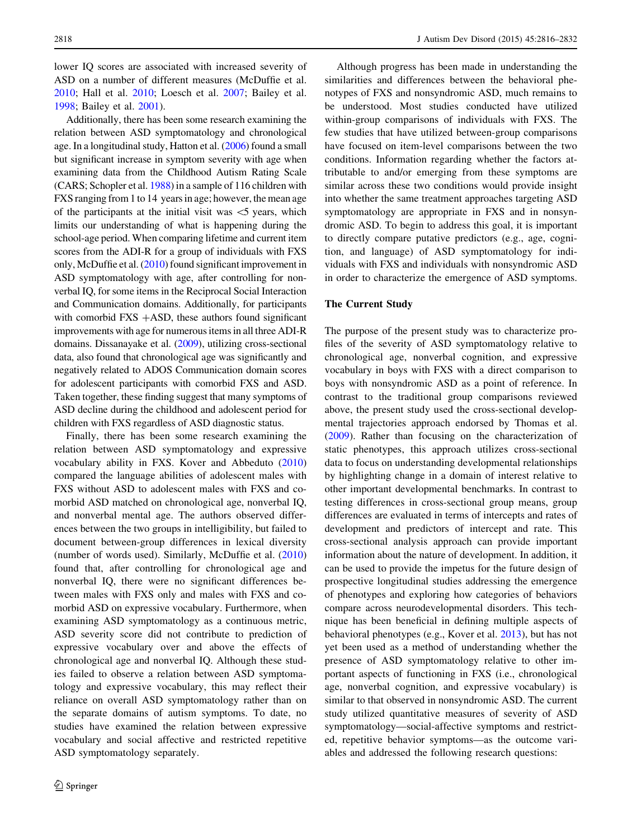lower IQ scores are associated with increased severity of ASD on a number of different measures (McDuffie et al. [2010;](#page-15-0) Hall et al. [2010;](#page-15-0) Loesch et al. [2007](#page-15-0); Bailey et al. [1998;](#page-15-0) Bailey et al. [2001](#page-15-0)).

Additionally, there has been some research examining the relation between ASD symptomatology and chronological age. In a longitudinal study, Hatton et al. [\(2006\)](#page-15-0) found a small but significant increase in symptom severity with age when examining data from the Childhood Autism Rating Scale (CARS; Schopler et al. [1988\)](#page-16-0) in a sample of 116 children with FXS ranging from 1 to 14 years in age; however, the mean age of the participants at the initial visit was  $\leq$  years, which limits our understanding of what is happening during the school-age period. When comparing lifetime and current item scores from the ADI-R for a group of individuals with FXS only, McDuffie et al. ([2010](#page-15-0)) found significant improvement in ASD symptomatology with age, after controlling for nonverbal IQ, for some items in the Reciprocal Social Interaction and Communication domains. Additionally, for participants with comorbid FXS  $+ASD$ , these authors found significant improvements with age for numerous items in all three ADI-R domains. Dissanayake et al. [\(2009](#page-15-0)), utilizing cross-sectional data, also found that chronological age was significantly and negatively related to ADOS Communication domain scores for adolescent participants with comorbid FXS and ASD. Taken together, these finding suggest that many symptoms of ASD decline during the childhood and adolescent period for children with FXS regardless of ASD diagnostic status.

Finally, there has been some research examining the relation between ASD symptomatology and expressive vocabulary ability in FXS. Kover and Abbeduto ([2010\)](#page-15-0) compared the language abilities of adolescent males with FXS without ASD to adolescent males with FXS and comorbid ASD matched on chronological age, nonverbal IQ, and nonverbal mental age. The authors observed differences between the two groups in intelligibility, but failed to document between-group differences in lexical diversity (number of words used). Similarly, McDuffie et al. ([2010\)](#page-15-0) found that, after controlling for chronological age and nonverbal IQ, there were no significant differences between males with FXS only and males with FXS and comorbid ASD on expressive vocabulary. Furthermore, when examining ASD symptomatology as a continuous metric, ASD severity score did not contribute to prediction of expressive vocabulary over and above the effects of chronological age and nonverbal IQ. Although these studies failed to observe a relation between ASD symptomatology and expressive vocabulary, this may reflect their reliance on overall ASD symptomatology rather than on the separate domains of autism symptoms. To date, no studies have examined the relation between expressive vocabulary and social affective and restricted repetitive ASD symptomatology separately.

Although progress has been made in understanding the similarities and differences between the behavioral phenotypes of FXS and nonsyndromic ASD, much remains to be understood. Most studies conducted have utilized within-group comparisons of individuals with FXS. The few studies that have utilized between-group comparisons have focused on item-level comparisons between the two conditions. Information regarding whether the factors attributable to and/or emerging from these symptoms are similar across these two conditions would provide insight into whether the same treatment approaches targeting ASD symptomatology are appropriate in FXS and in nonsyndromic ASD. To begin to address this goal, it is important to directly compare putative predictors (e.g., age, cognition, and language) of ASD symptomatology for individuals with FXS and individuals with nonsyndromic ASD in order to characterize the emergence of ASD symptoms.

#### The Current Study

The purpose of the present study was to characterize profiles of the severity of ASD symptomatology relative to chronological age, nonverbal cognition, and expressive vocabulary in boys with FXS with a direct comparison to boys with nonsyndromic ASD as a point of reference. In contrast to the traditional group comparisons reviewed above, the present study used the cross-sectional developmental trajectories approach endorsed by Thomas et al. [\(2009](#page-16-0)). Rather than focusing on the characterization of static phenotypes, this approach utilizes cross-sectional data to focus on understanding developmental relationships by highlighting change in a domain of interest relative to other important developmental benchmarks. In contrast to testing differences in cross-sectional group means, group differences are evaluated in terms of intercepts and rates of development and predictors of intercept and rate. This cross-sectional analysis approach can provide important information about the nature of development. In addition, it can be used to provide the impetus for the future design of prospective longitudinal studies addressing the emergence of phenotypes and exploring how categories of behaviors compare across neurodevelopmental disorders. This technique has been beneficial in defining multiple aspects of behavioral phenotypes (e.g., Kover et al. [2013\)](#page-15-0), but has not yet been used as a method of understanding whether the presence of ASD symptomatology relative to other important aspects of functioning in FXS (i.e., chronological age, nonverbal cognition, and expressive vocabulary) is similar to that observed in nonsyndromic ASD. The current study utilized quantitative measures of severity of ASD symptomatology—social-affective symptoms and restricted, repetitive behavior symptoms—as the outcome variables and addressed the following research questions: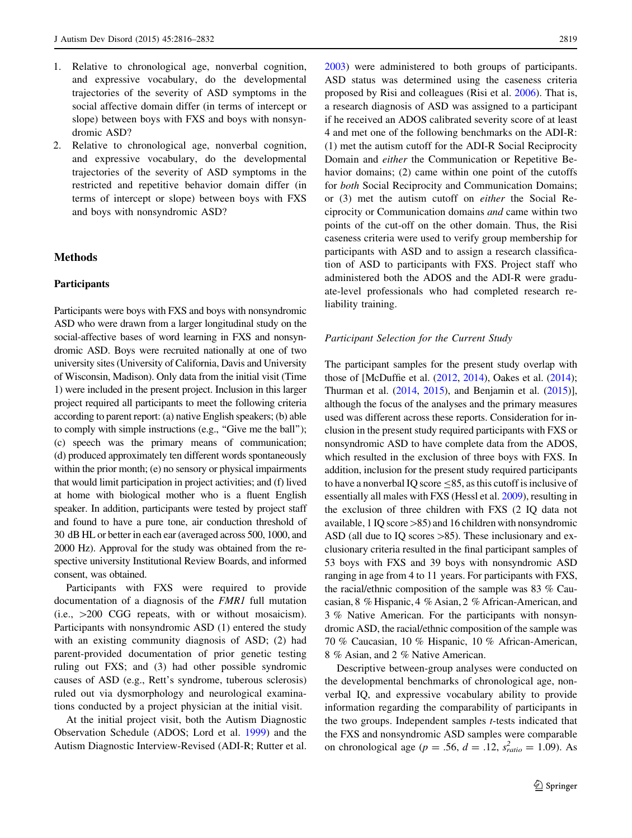- 1. Relative to chronological age, nonverbal cognition, and expressive vocabulary, do the developmental trajectories of the severity of ASD symptoms in the social affective domain differ (in terms of intercept or slope) between boys with FXS and boys with nonsyndromic ASD?
- 2. Relative to chronological age, nonverbal cognition, and expressive vocabulary, do the developmental trajectories of the severity of ASD symptoms in the restricted and repetitive behavior domain differ (in terms of intercept or slope) between boys with FXS and boys with nonsyndromic ASD?

# Methods

### **Participants**

Participants were boys with FXS and boys with nonsyndromic ASD who were drawn from a larger longitudinal study on the social-affective bases of word learning in FXS and nonsyndromic ASD. Boys were recruited nationally at one of two university sites (University of California, Davis and University of Wisconsin, Madison). Only data from the initial visit (Time 1) were included in the present project. Inclusion in this larger project required all participants to meet the following criteria according to parent report: (a) native English speakers; (b) able to comply with simple instructions (e.g., ''Give me the ball''); (c) speech was the primary means of communication; (d) produced approximately ten different words spontaneously within the prior month; (e) no sensory or physical impairments that would limit participation in project activities; and (f) lived at home with biological mother who is a fluent English speaker. In addition, participants were tested by project staff and found to have a pure tone, air conduction threshold of 30 dB HL or better in each ear (averaged across 500, 1000, and 2000 Hz). Approval for the study was obtained from the respective university Institutional Review Boards, and informed consent, was obtained.

Participants with FXS were required to provide documentation of a diagnosis of the FMR1 full mutation  $(i.e., >200 \text{ CGG repeats}, with or without mosaicism).$ Participants with nonsyndromic ASD (1) entered the study with an existing community diagnosis of ASD; (2) had parent-provided documentation of prior genetic testing ruling out FXS; and (3) had other possible syndromic causes of ASD (e.g., Rett's syndrome, tuberous sclerosis) ruled out via dysmorphology and neurological examinations conducted by a project physician at the initial visit.

At the initial project visit, both the Autism Diagnostic Observation Schedule (ADOS; Lord et al. [1999\)](#page-15-0) and the Autism Diagnostic Interview-Revised (ADI-R; Rutter et al.

[2003](#page-16-0)) were administered to both groups of participants. ASD status was determined using the caseness criteria proposed by Risi and colleagues (Risi et al. [2006](#page-16-0)). That is, a research diagnosis of ASD was assigned to a participant if he received an ADOS calibrated severity score of at least 4 and met one of the following benchmarks on the ADI-R: (1) met the autism cutoff for the ADI-R Social Reciprocity Domain and either the Communication or Repetitive Behavior domains; (2) came within one point of the cutoffs for both Social Reciprocity and Communication Domains; or (3) met the autism cutoff on either the Social Reciprocity or Communication domains and came within two points of the cut-off on the other domain. Thus, the Risi caseness criteria were used to verify group membership for participants with ASD and to assign a research classification of ASD to participants with FXS. Project staff who administered both the ADOS and the ADI-R were graduate-level professionals who had completed research reliability training.

#### Participant Selection for the Current Study

The participant samples for the present study overlap with those of [McDuffie et al. ([2012](#page-15-0), [2014](#page-15-0)), Oakes et al. ([2014](#page-16-0)); Thurman et al. [\(2014,](#page-16-0) [2015\)](#page-16-0), and Benjamin et al. ([2015](#page-15-0))], although the focus of the analyses and the primary measures used was different across these reports. Consideration for inclusion in the present study required participants with FXS or nonsyndromic ASD to have complete data from the ADOS, which resulted in the exclusion of three boys with FXS. In addition, inclusion for the present study required participants to have a nonverbal IQ score  $\leq$ 85, as this cutoff is inclusive of essentially all males with FXS (Hessl et al. [2009\)](#page-15-0), resulting in the exclusion of three children with FXS (2 IQ data not available,  $1$  IQ score  $>85$ ) and 16 children with nonsyndromic ASD (all due to IQ scores  $>85$ ). These inclusionary and exclusionary criteria resulted in the final participant samples of 53 boys with FXS and 39 boys with nonsyndromic ASD ranging in age from 4 to 11 years. For participants with FXS, the racial/ethnic composition of the sample was 83 % Caucasian, 8 % Hispanic, 4 % Asian, 2 % African-American, and 3 % Native American. For the participants with nonsyndromic ASD, the racial/ethnic composition of the sample was 70 % Caucasian, 10 % Hispanic, 10 % African-American, 8 % Asian, and 2 % Native American.

Descriptive between-group analyses were conducted on the developmental benchmarks of chronological age, nonverbal IQ, and expressive vocabulary ability to provide information regarding the comparability of participants in the two groups. Independent samples  $t$ -tests indicated that the FXS and nonsyndromic ASD samples were comparable on chronological age ( $p = .56$ ,  $d = .12$ ,  $s_{ratio}^2 = 1.09$ ). As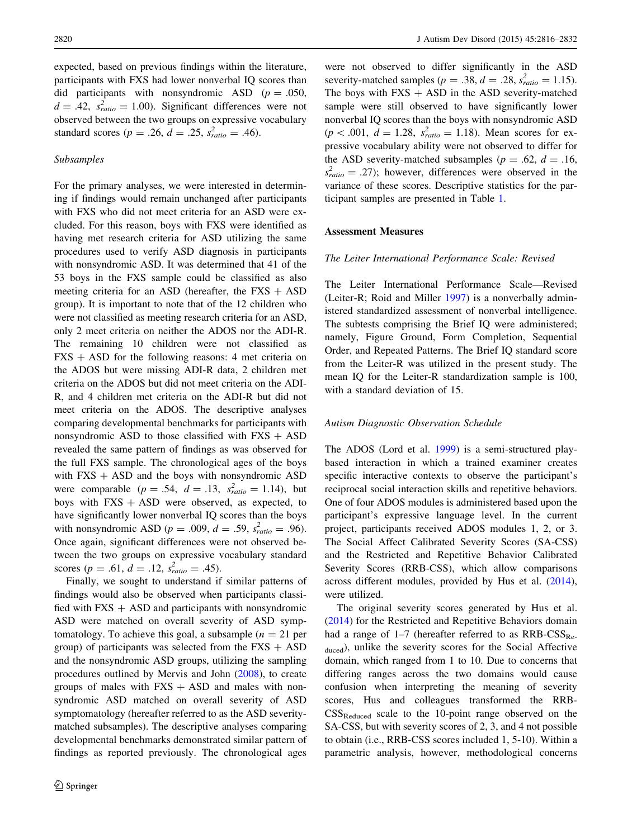expected, based on previous findings within the literature, participants with FXS had lower nonverbal IQ scores than did participants with nonsyndromic ASD ( $p = .050$ ,  $d = .42$ ,  $s_{ratio}^2 = 1.00$ . Significant differences were not observed between the two groups on expressive vocabulary standard scores ( $p = .26$ ,  $d = .25$ ,  $s_{ratio}^2 = .46$ ).

#### Subsamples

For the primary analyses, we were interested in determining if findings would remain unchanged after participants with FXS who did not meet criteria for an ASD were excluded. For this reason, boys with FXS were identified as having met research criteria for ASD utilizing the same procedures used to verify ASD diagnosis in participants with nonsyndromic ASD. It was determined that 41 of the 53 boys in the FXS sample could be classified as also meeting criteria for an ASD (hereafter, the  $FXS + ASD$ group). It is important to note that of the 12 children who were not classified as meeting research criteria for an ASD, only 2 meet criteria on neither the ADOS nor the ADI-R. The remaining 10 children were not classified as  $FXS + ASD$  for the following reasons: 4 met criteria on the ADOS but were missing ADI-R data, 2 children met criteria on the ADOS but did not meet criteria on the ADI-R, and 4 children met criteria on the ADI-R but did not meet criteria on the ADOS. The descriptive analyses comparing developmental benchmarks for participants with nonsyndromic ASD to those classified with  $FXS + ASD$ revealed the same pattern of findings as was observed for the full FXS sample. The chronological ages of the boys with  $FXS + ASD$  and the boys with nonsyndromic ASD were comparable ( $p = .54$ ,  $d = .13$ ,  $s_{ratio}^2 = 1.14$ ), but boys with  $FXS + ASD$  were observed, as expected, to have significantly lower nonverbal IQ scores than the boys with nonsyndromic ASD ( $p = .009$ ,  $d = .59$ ,  $s_{ratio}^2 = .96$ ). Once again, significant differences were not observed between the two groups on expressive vocabulary standard scores ( $p = .61$ ,  $d = .12$ ,  $s_{ratio}^2 = .45$ ).

Finally, we sought to understand if similar patterns of findings would also be observed when participants classified with  $FXS + ASD$  and participants with nonsyndromic ASD were matched on overall severity of ASD symptomatology. To achieve this goal, a subsample  $(n = 21$  per group) of participants was selected from the  $FXS + ASD$ and the nonsyndromic ASD groups, utilizing the sampling procedures outlined by Mervis and John [\(2008](#page-16-0)), to create groups of males with  $FXS + ASD$  and males with nonsyndromic ASD matched on overall severity of ASD symptomatology (hereafter referred to as the ASD severitymatched subsamples). The descriptive analyses comparing developmental benchmarks demonstrated similar pattern of findings as reported previously. The chronological ages

were not observed to differ significantly in the ASD severity-matched samples ( $p = .38$ ,  $d = .28$ ,  $s_{ratio}^2 = 1.15$ ). The boys with  $FXS + ASD$  in the ASD severity-matched sample were still observed to have significantly lower nonverbal IQ scores than the boys with nonsyndromic ASD  $(p < .001, d = 1.28, s_{ratio}^2 = 1.18)$ . Mean scores for expressive vocabulary ability were not observed to differ for the ASD severity-matched subsamples ( $p = .62$ ,  $d = .16$ ,  $s<sub>ratio</sub><sup>2</sup> = .27$ ; however, differences were observed in the variance of these scores. Descriptive statistics for the participant samples are presented in Table [1.](#page-5-0)

### Assessment Measures

#### The Leiter International Performance Scale: Revised

The Leiter International Performance Scale—Revised (Leiter-R; Roid and Miller [1997](#page-16-0)) is a nonverbally administered standardized assessment of nonverbal intelligence. The subtests comprising the Brief IQ were administered; namely, Figure Ground, Form Completion, Sequential Order, and Repeated Patterns. The Brief IQ standard score from the Leiter-R was utilized in the present study. The mean IQ for the Leiter-R standardization sample is 100, with a standard deviation of 15.

#### Autism Diagnostic Observation Schedule

The ADOS (Lord et al. [1999\)](#page-15-0) is a semi-structured playbased interaction in which a trained examiner creates specific interactive contexts to observe the participant's reciprocal social interaction skills and repetitive behaviors. One of four ADOS modules is administered based upon the participant's expressive language level. In the current project, participants received ADOS modules 1, 2, or 3. The Social Affect Calibrated Severity Scores (SA-CSS) and the Restricted and Repetitive Behavior Calibrated Severity Scores (RRB-CSS), which allow comparisons across different modules, provided by Hus et al. [\(2014](#page-15-0)), were utilized.

The original severity scores generated by Hus et al. [\(2014](#page-15-0)) for the Restricted and Repetitive Behaviors domain had a range of  $1-7$  (hereafter referred to as  $RRB-CSS_{Re}$ . duced), unlike the severity scores for the Social Affective domain, which ranged from 1 to 10. Due to concerns that differing ranges across the two domains would cause confusion when interpreting the meaning of severity scores, Hus and colleagues transformed the RRB- $CSS_{Reduced}$  scale to the 10-point range observed on the SA-CSS, but with severity scores of 2, 3, and 4 not possible to obtain (i.e., RRB-CSS scores included 1, 5-10). Within a parametric analysis, however, methodological concerns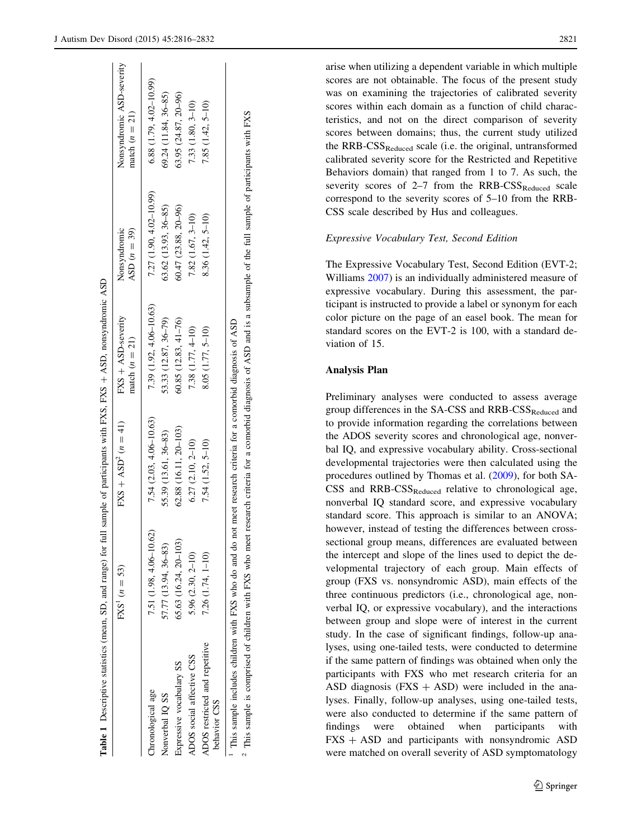<span id="page-5-0"></span>

|                                                                                                                 | $FXS' (n = 53)$            | $FXS + ASD^2 (n = 41)$                                                                                           | FXS + ASD-severity<br>match $(n = 21)$ | Nonsyndromic<br>$ASD (n = 39)$ | Nonsyndromic ASD-severity<br>match $(n = 21)$ |
|-----------------------------------------------------------------------------------------------------------------|----------------------------|------------------------------------------------------------------------------------------------------------------|----------------------------------------|--------------------------------|-----------------------------------------------|
| Inronological age                                                                                               | $7.51(1.98, 4.06 - 10.62)$ | $7.54(2.03, 4.06 - 10.63)$                                                                                       | $7.39(1.92, 4.06 - 10.63)$             | $7.27(1.90, 4.02 - 10.99)$     | $6.88(1.79, 4.02 - 10.99)$                    |
| Nonverbal IQ SS                                                                                                 | 57.77 (13.94, 36-83)       | 55.39 (13.61, 36-83)                                                                                             | 53.33 (12.87, 36-79)                   | $63.62$ $(13.93, 36-85)$       | $69.24$ (11.84, 36-85)                        |
| Expressive vocabulary SS                                                                                        | 65.63 (16.24, 20-103)      | 62.88 (16.11, 20–103)                                                                                            | $60.85(12.83, 41-76)$                  | $60.47(23.88, 20 - 96)$        | $63.95(24.87, 20 - 96)$                       |
| ADOS social affective CSS                                                                                       | 5.96 (2.30, 2-10)          | $6.27(2.10, 2-10)$                                                                                               | 7.38 (1.77, 4-10)                      | $7.82(1.67, 3-10)$             | 7.33 (1.80, 3-10)                             |
| ADOS restricted and repetitive<br>behavior CSS                                                                  | $7.26$ $(1.74, 1-10)$      | 7.54 (1.52, 5-10)                                                                                                | 8.05 (1.77, 5-10)                      | $8.36(1.42, 5-10)$             | $7.85(1.42, 5-10)$                            |
| This sample includes children with FXS who do and do not meet research criteria for a comorbid diagnosis of ASD |                            |                                                                                                                  |                                        |                                |                                               |
| This sample is comprised of children with FXS who meet                                                          |                            | research criteria for a comorbid diagnosis of ASD and is a subsample of the full sample of participants with FXS |                                        |                                |                                               |

Table 1

Descriptive statistics (mean, SD, and range) for full sample of participants with FXS, FXS

 $^+$ 

ASD, nonsyndromic ASD

 This sample is comprised of children with FXS who meet research criteria for a comorbid diagnosis of ASD and is a subsample of the full sample of participants with FXS participants đ sample  $\exists$ the đ subsample ್ಷ ِ<br>نا and ASD đ diagnosis a comorbid İō  $\vec{a}$ criter research meet who EXS with Idren ĠП đ ised is compr sample hiis.  $\sim$ 

arise when utilizing a dependent variable in which multiple scores are not obtainable. The focus of the present study was on examining the trajectories of calibrated severity scores within each domain as a function of child characteristics, and not on the direct comparison of severity scores between domains; thus, the current study utilized the  $RRB-CSS_{Reduced}$  scale (i.e. the original, untransformed calibrated severity score for the Restricted and Repetitive Behaviors domain) that ranged from 1 to 7. As such, the severity scores of  $2-7$  from the RRB-CSS<sub>Reduced</sub> scale correspond to the severity scores of 5–10 from the RRB-CSS scale described by Hus and colleagues.

# Expressive Vocabulary Test, Second Edition

The Expressive Vocabulary Test, Second Edition (EVT-2; Williams [2007\)](#page-16-0) is an individually administered measure of expressive vocabulary. During this assessment, the participant is instructed to provide a label or synonym for each color picture on the page of an easel book. The mean for standard scores on the EVT-2 is 100, with a standard deviation of 15.

## Analysis Plan

Preliminary analyses were conducted to assess average group differences in the SA-CSS and RRB-CSS<sub>Reduced</sub> and to provide information regarding the correlations between the ADOS severity scores and chronological age, nonverbal IQ, and expressive vocabulary ability. Cross-sectional developmental trajectories were then calculated using the procedures outlined by Thomas et al. [\(2009](#page-16-0)), for both SA- $CSS$  and  $RRB-CSS_{Reduced}$  relative to chronological age, nonverbal IQ standard score, and expressive vocabulary standard score. This approach is similar to an ANOVA; however, instead of testing the differences between crosssectional group means, differences are evaluated between the intercept and slope of the lines used to depict the developmental trajectory of each group. Main effects of group (FXS vs. nonsyndromic ASD), main effects of the three continuous predictors (i.e., chronological age, nonverbal IQ, or expressive vocabulary), and the interactions between group and slope were of interest in the current study. In the case of significant findings, follow-up analyses, using one-tailed tests, were conducted to determine if the same pattern of findings was obtained when only the participants with FXS who met research criteria for an ASD diagnosis  $(FXS + ASD)$  were included in the analyses. Finally, follow-up analyses, using one-tailed tests, were also conducted to determine if the same pattern of findings were obtained when participants with  $FXS + ASD$  and participants with nonsyndromic ASD were matched on overall severity of ASD symptomatology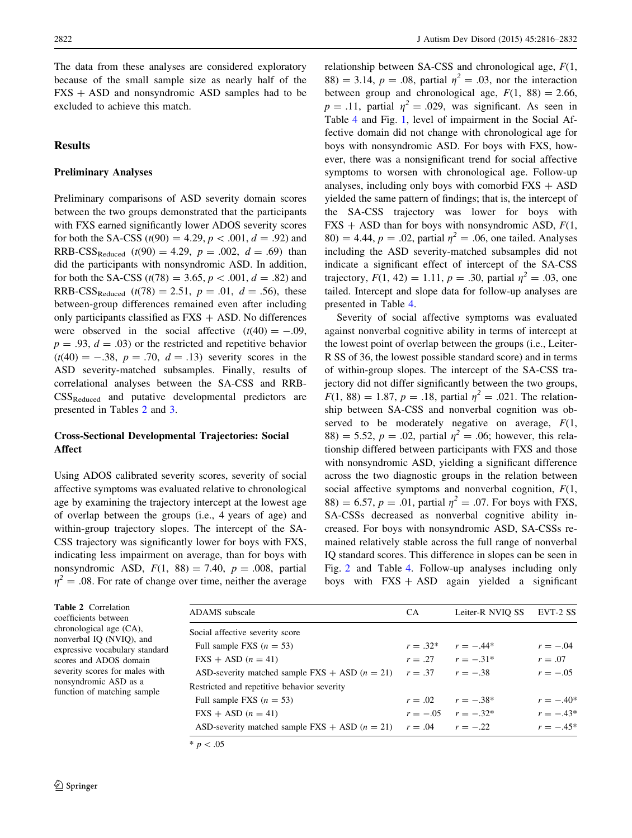The data from these analyses are considered exploratory because of the small sample size as nearly half of the  $FXS + ASD$  and nonsyndromic ASD samples had to be excluded to achieve this match.

# Results

# Preliminary Analyses

Preliminary comparisons of ASD severity domain scores between the two groups demonstrated that the participants with FXS earned significantly lower ADOS severity scores for both the SA-CSS ( $t(90) = 4.29$ ,  $p < .001$ ,  $d = .92$ ) and RRB-CSS<sub>Reduced</sub> ( $t(90) = 4.29$ ,  $p = .002$ ,  $d = .69$ ) than did the participants with nonsyndromic ASD. In addition, for both the SA-CSS ( $t(78) = 3.65$ ,  $p < .001$ ,  $d = .82$ ) and RRB-CSS<sub>Reduced</sub> (t(78) = 2.51,  $p = .01$ ,  $d = .56$ ), these between-group differences remained even after including only participants classified as  $FXS + ASD$ . No differences were observed in the social affective  $(t(40) = -.09)$ ,  $p = .93$ ,  $d = .03$ ) or the restricted and repetitive behavior  $(t(40) = -.38, p = .70, d = .13)$  severity scores in the ASD severity-matched subsamples. Finally, results of correlational analyses between the SA-CSS and RRB-CSSReduced and putative developmental predictors are presented in Tables 2 and [3.](#page-7-0)

## Cross-Sectional Developmental Trajectories: Social Affect

Using ADOS calibrated severity scores, severity of social affective symptoms was evaluated relative to chronological age by examining the trajectory intercept at the lowest age of overlap between the groups (i.e., 4 years of age) and within-group trajectory slopes. The intercept of the SA-CSS trajectory was significantly lower for boys with FXS, indicating less impairment on average, than for boys with nonsyndromic ASD,  $F(1, 88) = 7.40$ ,  $p = .008$ , partial  $\eta^2 = .08$ . For rate of change over time, neither the average relationship between SA-CSS and chronological age,  $F(1,$ 88) = 3.14,  $p = .08$ , partial  $\eta^2 = .03$ , nor the interaction between group and chronological age,  $F(1, 88) = 2.66$ ,  $p = .11$ , partial  $\eta^2 = .029$ , was significant. As seen in Table [4](#page-7-0) and Fig. [1](#page-7-0), level of impairment in the Social Affective domain did not change with chronological age for boys with nonsyndromic ASD. For boys with FXS, however, there was a nonsignificant trend for social affective symptoms to worsen with chronological age. Follow-up analyses, including only boys with comorbid  $FXS + ASD$ yielded the same pattern of findings; that is, the intercept of the SA-CSS trajectory was lower for boys with  $FXS + ASD$  than for boys with nonsyndromic ASD,  $F(1, 1)$ 80) = 4.44,  $p = .02$ , partial  $\eta^2 = .06$ , one tailed. Analyses including the ASD severity-matched subsamples did not indicate a significant effect of intercept of the SA-CSS trajectory,  $F(1, 42) = 1.11$ ,  $p = .30$ , partial  $\eta^2 = .03$ , one tailed. Intercept and slope data for follow-up analyses are presented in Table [4](#page-7-0).

Severity of social affective symptoms was evaluated against nonverbal cognitive ability in terms of intercept at the lowest point of overlap between the groups (i.e., Leiter-R SS of 36, the lowest possible standard score) and in terms of within-group slopes. The intercept of the SA-CSS trajectory did not differ significantly between the two groups,  $F(1, 88) = 1.87, p = .18$ , partial  $\eta^2 = .021$ . The relationship between SA-CSS and nonverbal cognition was observed to be moderately negative on average,  $F(1)$ , 88) = 5.52,  $p = .02$ , partial  $\eta^2 = .06$ ; however, this relationship differed between participants with FXS and those with nonsyndromic ASD, yielding a significant difference across the two diagnostic groups in the relation between social affective symptoms and nonverbal cognition,  $F(1, 1)$ 88) = 6.57,  $p = .01$ , partial  $\eta^2 = .07$ . For boys with FXS, SA-CSSs decreased as nonverbal cognitive ability increased. For boys with nonsyndromic ASD, SA-CSSs remained relatively stable across the full range of nonverbal IQ standard scores. This difference in slopes can be seen in Fig. [2](#page-8-0) and Table [4](#page-7-0). Follow-up analyses including only boys with  $FXS + ASD$  again yielded a significant

| 2 Correlation<br>ients between                                                                                                                                             | ADAMS subscale                                                                                                                                                                                                                                                                                            | <b>CA</b>  | Leiter-R NVIO SS                                                                        | EVT-2 SS                                                          |
|----------------------------------------------------------------------------------------------------------------------------------------------------------------------------|-----------------------------------------------------------------------------------------------------------------------------------------------------------------------------------------------------------------------------------------------------------------------------------------------------------|------------|-----------------------------------------------------------------------------------------|-------------------------------------------------------------------|
| $\alpha$ logical age $(CA)$ ,<br>bal IO (NVIO), and<br>sive vocabulary standard<br>and ADOS domain<br>y scores for males with<br>ndromic ASD as a<br>on of matching sample | Social affective severity score<br>Full sample FXS $(n = 53)$<br>$\text{FXS} + \text{ASD}$ ( <i>n</i> = 41)<br>ASD-severity matched sample FXS + ASD $(n = 21)$ $r = .37$ $r = -.38$<br>Restricted and repetitive behavior severity<br>Full sample FXS $(n = 53)$<br>$\text{FXS} + \text{ASD}$ $(n = 41)$ | $r = .32*$ | $r = -.44*$<br>$r = .27$ $r = -.31*$<br>$r = .02$ $r = -.38*$<br>$r = -.05$ $r = -.32*$ | $r = -.04$<br>$r=.07$<br>$r = -.05$<br>$r = -.40*$<br>$r = -.43*$ |
|                                                                                                                                                                            | ASD-severity matched sample FXS + ASD $(n = 21)$ $r = .04$ $r = -.22$<br>* $p < .05$                                                                                                                                                                                                                      |            |                                                                                         | $r = -.45*$                                                       |

**Table** coeffic chrono nonver expres scores severit nonsyn functio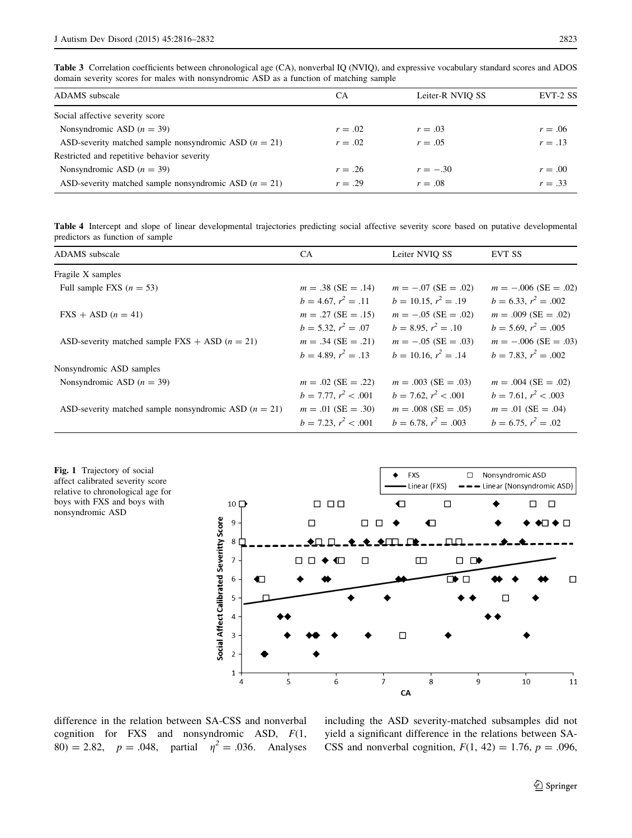<span id="page-7-0"></span>Table 3 Correlation coefficients between chronological age (CA), nonverbal IQ (NVIQ), and expressive vocabulary standard scores and ADOS domain severity scores for males with nonsyndromic ASD as a function of matching sample

| ADAMS subscale                                          | CA        | Leiter-R NVIO SS | EVT-2 SS  |
|---------------------------------------------------------|-----------|------------------|-----------|
| Social affective severity score                         |           |                  |           |
| Nonsyndromic ASD $(n = 39)$                             | $r=.02$   | $r = .03$        | $r = .06$ |
| ASD-severity matched sample nonsyndromic ASD $(n = 21)$ | $r=.02$   | $r = .05$        | $r = .13$ |
| Restricted and repetitive behavior severity             |           |                  |           |
| Nonsyndromic ASD $(n = 39)$                             | $r = .26$ | $r = -.30$       | $r=.00$   |
| ASD-severity matched sample nonsyndromic ASD $(n = 21)$ | $r = .29$ | $r=.08$          | $r = .33$ |

Table 4 Intercept and slope of linear developmental trajectories predicting social affective severity score based on putative developmental predictors as function of sample

| ADAMS subscale                                          | CA                       | Leiter NVIO SS            | <b>EVT SS</b>          |
|---------------------------------------------------------|--------------------------|---------------------------|------------------------|
| Fragile X samples                                       |                          |                           |                        |
| Full sample FXS $(n = 53)$                              | $m = .38$ (SE = .14)     | $m = -.07$ (SE = .02)     | $m = -.006$ (SE = .02) |
|                                                         | $b = 4.67, r^2 = .11$    | $b = 10.15, r^2 = .19$    | $b = 6.33, r^2 = .002$ |
| $\text{FXS} + \text{ASD}$ (n = 41)                      | $m = .27$ (SE = .15)     | $m = -.05$ (SE = .02)     | $m = .009$ (SE = .02)  |
|                                                         | $b = 5.32, r^2 = .07$    | $b = 8.95, r^2 = .10$     | $b = 5.69, r^2 = .005$ |
| ASD-severity matched sample $FXS + ASD (n = 21)$        | $m = .34$ (SE = .21)     | $m = -.05$ (SE = .03)     | $m = -.006$ (SE = .03) |
|                                                         | $b = 4.89$ , $r^2 = .13$ | $b = 10.16$ , $r^2 = .14$ | $b = 7.83, r^2 = .002$ |
| Nonsyndromic ASD samples                                |                          |                           |                        |
| Nonsyndromic ASD $(n = 39)$                             | $m = .02$ (SE = .22)     | $m = .003$ (SE = .03)     | $m = .004$ (SE = .02)  |
|                                                         | $b = 7.77, r^2 < .001$   | $b = 7.62, r^2 < .001$    | $b = 7.61, r^2 < .003$ |
| ASD-severity matched sample nonsyndromic ASD $(n = 21)$ | $m = .01$ (SE = .30)     | $m = .008$ (SE = .05)     | $m = .01$ (SE = .04)   |
|                                                         | $b = 7.23, r^2 < .001$   | $b = 6.78, r^2 = .003$    | $b = 6.75, r^2 = .02$  |

Fig. 1 Trajectory of social affect calibrated severity score relative to chronological age for boys with FXS and boys with nonsyndromic ASD



difference in the relation between SA-CSS and nonverbal cognition for FXS and nonsyndromic ASD,  $F(1,$ 80) = 2.82,  $p = .048$ , partial  $\eta^2 = .036$ . Analyses

including the ASD severity-matched subsamples did not yield a significant difference in the relations between SA-CSS and nonverbal cognition,  $F(1, 42) = 1.76$ ,  $p = .096$ ,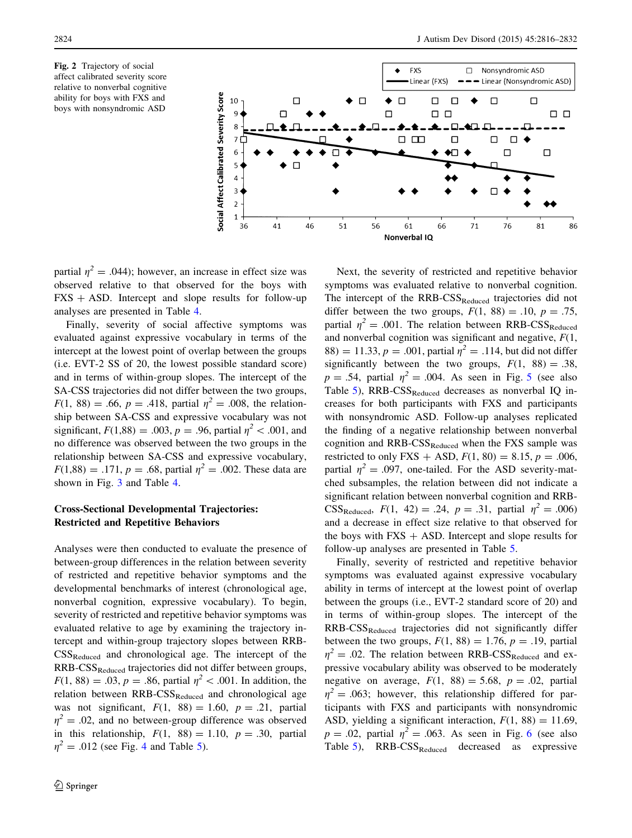<span id="page-8-0"></span>Fig. 2 Trajectory of social affect calibrated severity score relative to nonverbal cognitive ability for boys with FXS and boys with nonsyndromic ASD



partial  $\eta^2 = .044$ ; however, an increase in effect size was observed relative to that observed for the boys with  $FXS + ASD$ . Intercept and slope results for follow-up analyses are presented in Table [4.](#page-7-0)

Finally, severity of social affective symptoms was evaluated against expressive vocabulary in terms of the intercept at the lowest point of overlap between the groups (i.e. EVT-2 SS of 20, the lowest possible standard score) and in terms of within-group slopes. The intercept of the SA-CSS trajectories did not differ between the two groups,  $F(1, 88) = .66, p = .418$ , partial  $\eta^2 = .008$ , the relationship between SA-CSS and expressive vocabulary was not significant,  $F(1,88) = .003$ ,  $p = .96$ , partial  $\eta^2 < .001$ , and no difference was observed between the two groups in the relationship between SA-CSS and expressive vocabulary,  $F(1,88) = .171, p = .68$ , partial  $\eta^2 = .002$ . These data are shown in Fig. [3](#page-9-0) and Table [4.](#page-7-0)

# Cross-Sectional Developmental Trajectories: Restricted and Repetitive Behaviors

Analyses were then conducted to evaluate the presence of between-group differences in the relation between severity of restricted and repetitive behavior symptoms and the developmental benchmarks of interest (chronological age, nonverbal cognition, expressive vocabulary). To begin, severity of restricted and repetitive behavior symptoms was evaluated relative to age by examining the trajectory intercept and within-group trajectory slopes between RRB- $CSS_{Reduced}$  and chronological age. The intercept of the RRB-CSSReduced trajectories did not differ between groups,  $F(1, 88) = .03, p = .86$ , partial  $\eta^2 < .001$ . In addition, the relation between  $RRB-CSS_{Reduced}$  and chronological age was not significant,  $F(1, 88) = 1.60$ ,  $p = .21$ , partial  $\eta^2 = .02$ , and no between-group difference was observed in this relationship,  $F(1, 88) = 1.10$ ,  $p = .30$ , partial  $\eta^2 = .012$  (see Fig. [4](#page-9-0) and Table [5\)](#page-9-0).

Next, the severity of restricted and repetitive behavior symptoms was evaluated relative to nonverbal cognition. The intercept of the RRB-CSS<sub>Reduced</sub> trajectories did not differ between the two groups,  $F(1, 88) = .10$ ,  $p = .75$ , partial  $\eta^2 = .001$ . The relation between RRB-CSS<sub>Reduced</sub> and nonverbal cognition was significant and negative,  $F(1, 1)$ 88) = 11.33,  $p = .001$ , partial  $\eta^2 = .114$ , but did not differ significantly between the two groups,  $F(1, 88) = .38$ ,  $p = .54$  $p = .54$  $p = .54$ , partial  $\eta^2 = .004$ . As seen in Fig. 5 (see also Table  $5$ ), RRB-CSS<sub>Reduced</sub> decreases as nonverbal IQ increases for both participants with FXS and participants with nonsyndromic ASD. Follow-up analyses replicated the finding of a negative relationship between nonverbal cognition and  $RRB-CSS_{Reduced}$  when the FXS sample was restricted to only FXS + ASD,  $F(1, 80) = 8.15$ ,  $p = .006$ , partial  $\eta^2 = .097$ , one-tailed. For the ASD severity-matched subsamples, the relation between did not indicate a significant relation between nonverbal cognition and RRB-CSS<sub>Reduced</sub>,  $F(1, 42) = .24$ ,  $p = .31$ , partial  $\eta^2 = .006$ ) and a decrease in effect size relative to that observed for the boys with  $FXS + ASD$ . Intercept and slope results for follow-up analyses are presented in Table [5.](#page-9-0)

Finally, severity of restricted and repetitive behavior symptoms was evaluated against expressive vocabulary ability in terms of intercept at the lowest point of overlap between the groups (i.e., EVT-2 standard score of 20) and in terms of within-group slopes. The intercept of the RRB-CSS<sub>Reduced</sub> trajectories did not significantly differ between the two groups,  $F(1, 88) = 1.76$ ,  $p = .19$ , partial  $\eta^2 = .02$ . The relation between RRB-CSS<sub>Reduced</sub> and expressive vocabulary ability was observed to be moderately negative on average,  $F(1, 88) = 5.68$ ,  $p = .02$ , partial  $\eta^2 = .063$ ; however, this relationship differed for participants with FXS and participants with nonsyndromic ASD, yielding a significant interaction,  $F(1, 88) = 11.69$ ,  $p = .02$ , partial  $\eta^2 = .063$  $\eta^2 = .063$  $\eta^2 = .063$ . As seen in Fig. 6 (see also Table  $5$ ), RRB-CSS<sub>Reduced</sub> decreased as expressive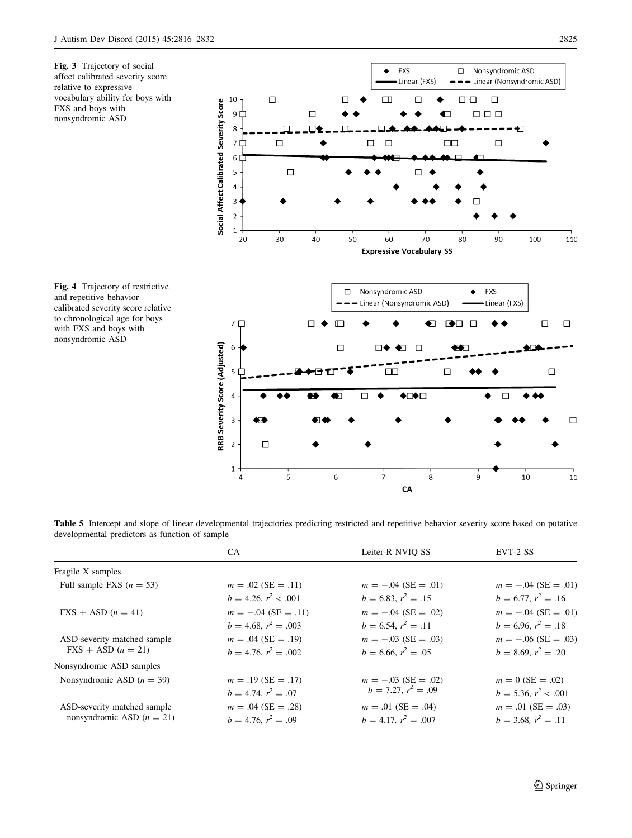<span id="page-9-0"></span>

Fig. 4 Trajectory of restrictive and repetitive behavior calibrated severity score relative to chronological age for boys with FXS and boys with nonsyndromic ASD



 $CA$ 

Table 5 Intercept and slope of linear developmental trajectories predicting restricted and repetitive behavior severity score based on putative developmental predictors as function of sample

|                                      | CA                        | Leiter-R NVIO SS          | EVT-2 SS               |
|--------------------------------------|---------------------------|---------------------------|------------------------|
| Fragile X samples                    |                           |                           |                        |
| Full sample FXS $(n = 53)$           | $m = .02$ (SE = .11)      | $m = -.04$ (SE = .01)     | $m = -.04$ (SE = .01)  |
|                                      | $b = 4.26, r^2 < .001$    | $b = 6.83, r^2 = .15$     | $b = 6.77, r^2 = .16$  |
| $\text{FXS} + \text{ASD}$ (n = 41)   | $m = -.04$ (SE = .11)     | $m = -.04$ (SE = .02)     | $m = -.04$ (SE = .01)  |
|                                      | $b = 4.68, r^2 = .003$    | $b = 6.54, r^2 = .11$     | $b = 6.96, r^2 = .18$  |
| ASD-severity matched sample          | $m = .04$ (SE = .19)      | $m = -.03$ (SE = .03)     | $m = -.06$ (SE = .03)  |
| $\text{FXS} + \text{ASD}$ $(n = 21)$ | $b = 4.76$ , $r^2 = .002$ | $b = 6.66, r^2 = .05$     | $b = 8.69, r^2 = .20$  |
| Nonsyndromic ASD samples             |                           |                           |                        |
| Nonsyndromic ASD $(n = 39)$          | $m = .19$ (SE = .17)      | $m = -.03$ (SE = .02)     | $m = 0$ (SE = .02)     |
|                                      | $b = 4.74, r^2 = .07$     | $b = 7.27, r^2 = .09$     | $b = 5.36, r^2 < .001$ |
| ASD-severity matched sample          | $m = .04$ (SE = .28)      | $m = .01$ (SE = .04)      | $m = .01$ (SE = .03)   |
| nonsyndromic ASD $(n = 21)$          | $b = 4.76, r^2 = .09$     | $b = 4.17$ , $r^2 = .007$ | $b = 3.68, r^2 = .11$  |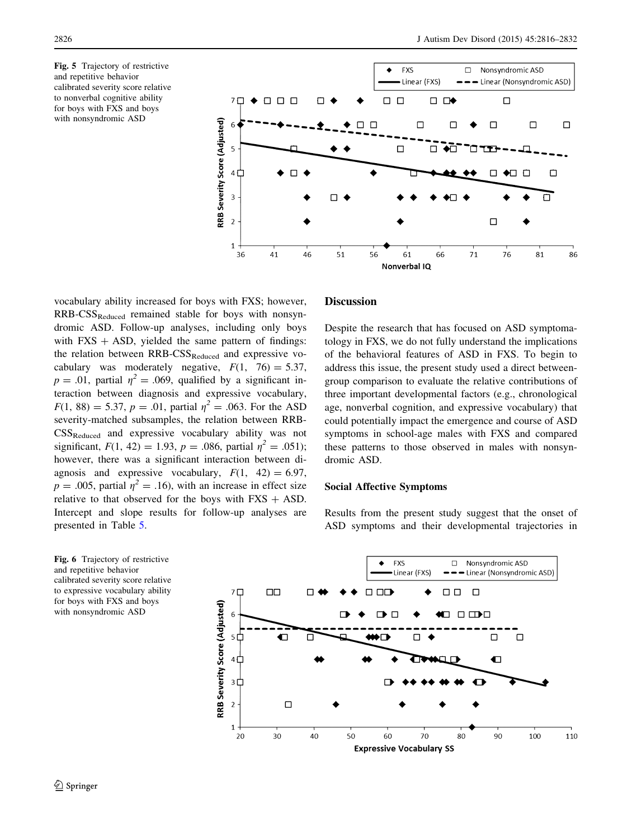<span id="page-10-0"></span>Fig. 5 Trajectory of restrictive and repetitive behavior calibrated severity score relative to nonverbal cognitive ability for boys with FXS and boys with nonsyndromic ASD



vocabulary ability increased for boys with FXS; however,  $RRB-CSS_{Reduced}$  remained stable for boys with nonsyndromic ASD. Follow-up analyses, including only boys with  $FXS + ASD$ , yielded the same pattern of findings: the relation between  $RRB-CSS_{Reduced}$  and expressive vocabulary was moderately negative,  $F(1, 76) = 5.37$ ,  $p = .01$ , partial  $\eta^2 = .069$ , qualified by a significant interaction between diagnosis and expressive vocabulary,  $F(1, 88) = 5.37, p = .01$ , partial  $\eta^2 = .063$ . For the ASD severity-matched subsamples, the relation between RRB-CSSReduced and expressive vocabulary ability was not significant,  $F(1, 42) = 1.93$ ,  $p = .086$ , partial  $\eta^2 = .051$ ; however, there was a significant interaction between diagnosis and expressive vocabulary,  $F(1, 42) = 6.97$ ,  $p = .005$ , partial  $\eta^2 = .16$ ), with an increase in effect size relative to that observed for the boys with  $FXS + ASD$ . Intercept and slope results for follow-up analyses are presented in Table [5](#page-9-0).

### Discussion

Despite the research that has focused on ASD symptomatology in FXS, we do not fully understand the implications of the behavioral features of ASD in FXS. To begin to address this issue, the present study used a direct betweengroup comparison to evaluate the relative contributions of three important developmental factors (e.g., chronological age, nonverbal cognition, and expressive vocabulary) that could potentially impact the emergence and course of ASD symptoms in school-age males with FXS and compared these patterns to those observed in males with nonsyndromic ASD.

#### Social Affective Symptoms

Results from the present study suggest that the onset of ASD symptoms and their developmental trajectories in

Fig. 6 Trajectory of restrictive and repetitive behavior calibrated severity score relative to expressive vocabulary ability for boys with FXS and boys with nonsyndromic ASD

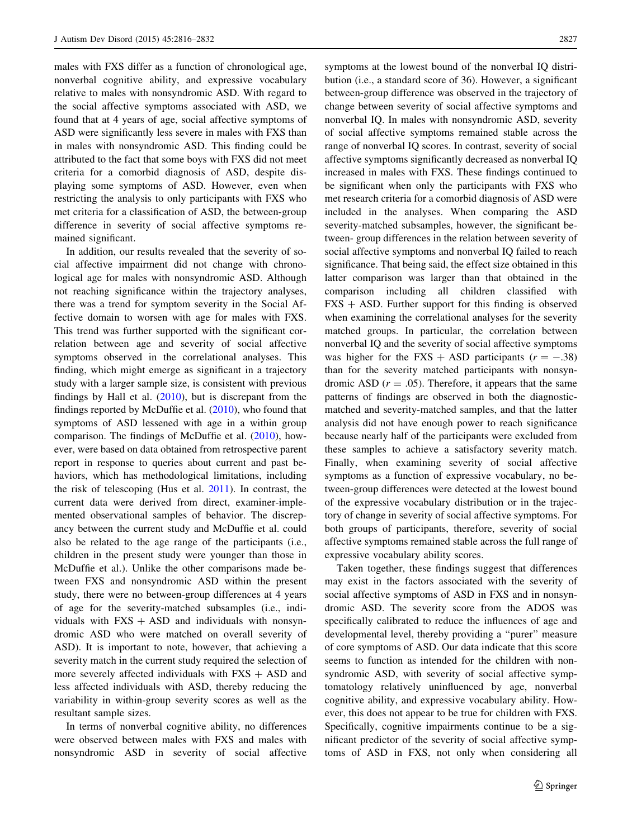males with FXS differ as a function of chronological age, nonverbal cognitive ability, and expressive vocabulary relative to males with nonsyndromic ASD. With regard to the social affective symptoms associated with ASD, we found that at 4 years of age, social affective symptoms of ASD were significantly less severe in males with FXS than in males with nonsyndromic ASD. This finding could be attributed to the fact that some boys with FXS did not meet criteria for a comorbid diagnosis of ASD, despite displaying some symptoms of ASD. However, even when restricting the analysis to only participants with FXS who met criteria for a classification of ASD, the between-group difference in severity of social affective symptoms remained significant.

In addition, our results revealed that the severity of social affective impairment did not change with chronological age for males with nonsyndromic ASD. Although not reaching significance within the trajectory analyses, there was a trend for symptom severity in the Social Affective domain to worsen with age for males with FXS. This trend was further supported with the significant correlation between age and severity of social affective symptoms observed in the correlational analyses. This finding, which might emerge as significant in a trajectory study with a larger sample size, is consistent with previous findings by Hall et al. ([2010\)](#page-15-0), but is discrepant from the findings reported by McDuffie et al.  $(2010)$  $(2010)$ , who found that symptoms of ASD lessened with age in a within group comparison. The findings of McDuffie et al. [\(2010](#page-15-0)), however, were based on data obtained from retrospective parent report in response to queries about current and past behaviors, which has methodological limitations, including the risk of telescoping (Hus et al. [2011\)](#page-15-0). In contrast, the current data were derived from direct, examiner-implemented observational samples of behavior. The discrepancy between the current study and McDuffie et al. could also be related to the age range of the participants (i.e., children in the present study were younger than those in McDuffie et al.). Unlike the other comparisons made between FXS and nonsyndromic ASD within the present study, there were no between-group differences at 4 years of age for the severity-matched subsamples (i.e., individuals with  $FXS + ASD$  and individuals with nonsyndromic ASD who were matched on overall severity of ASD). It is important to note, however, that achieving a severity match in the current study required the selection of more severely affected individuals with  $FXS + ASD$  and less affected individuals with ASD, thereby reducing the variability in within-group severity scores as well as the resultant sample sizes.

In terms of nonverbal cognitive ability, no differences were observed between males with FXS and males with nonsyndromic ASD in severity of social affective symptoms at the lowest bound of the nonverbal IQ distribution (i.e., a standard score of 36). However, a significant between-group difference was observed in the trajectory of change between severity of social affective symptoms and nonverbal IQ. In males with nonsyndromic ASD, severity of social affective symptoms remained stable across the range of nonverbal IQ scores. In contrast, severity of social affective symptoms significantly decreased as nonverbal IQ increased in males with FXS. These findings continued to be significant when only the participants with FXS who met research criteria for a comorbid diagnosis of ASD were included in the analyses. When comparing the ASD severity-matched subsamples, however, the significant between- group differences in the relation between severity of social affective symptoms and nonverbal IQ failed to reach significance. That being said, the effect size obtained in this latter comparison was larger than that obtained in the comparison including all children classified with  $FXS + ASD$ . Further support for this finding is observed when examining the correlational analyses for the severity matched groups. In particular, the correlation between nonverbal IQ and the severity of social affective symptoms was higher for the FXS + ASD participants  $(r = -.38)$ than for the severity matched participants with nonsyndromic ASD  $(r = .05)$ . Therefore, it appears that the same patterns of findings are observed in both the diagnosticmatched and severity-matched samples, and that the latter analysis did not have enough power to reach significance because nearly half of the participants were excluded from these samples to achieve a satisfactory severity match. Finally, when examining severity of social affective symptoms as a function of expressive vocabulary, no between-group differences were detected at the lowest bound of the expressive vocabulary distribution or in the trajectory of change in severity of social affective symptoms. For both groups of participants, therefore, severity of social affective symptoms remained stable across the full range of expressive vocabulary ability scores.

Taken together, these findings suggest that differences may exist in the factors associated with the severity of social affective symptoms of ASD in FXS and in nonsyndromic ASD. The severity score from the ADOS was specifically calibrated to reduce the influences of age and developmental level, thereby providing a ''purer'' measure of core symptoms of ASD. Our data indicate that this score seems to function as intended for the children with nonsyndromic ASD, with severity of social affective symptomatology relatively uninfluenced by age, nonverbal cognitive ability, and expressive vocabulary ability. However, this does not appear to be true for children with FXS. Specifically, cognitive impairments continue to be a significant predictor of the severity of social affective symptoms of ASD in FXS, not only when considering all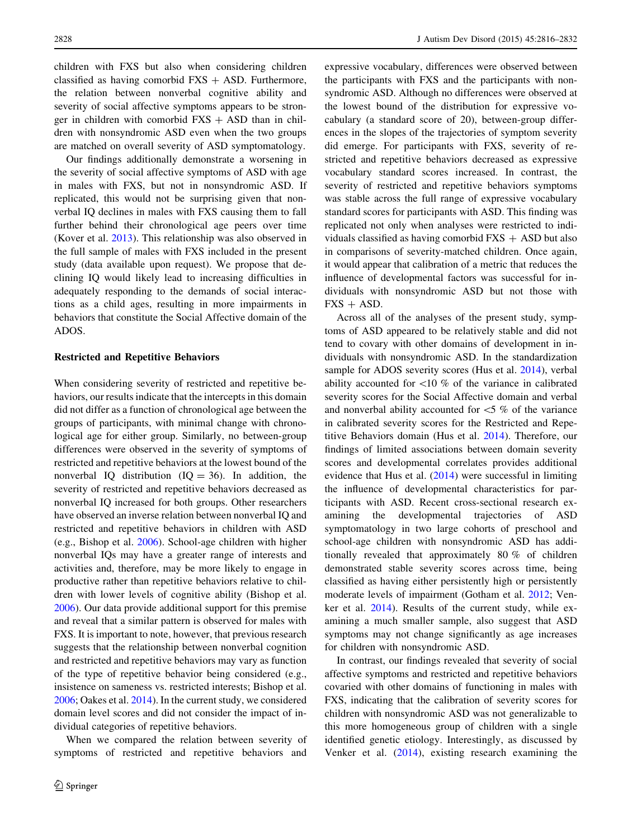children with FXS but also when considering children classified as having comorbid  $FXS + ASD$ . Furthermore, the relation between nonverbal cognitive ability and severity of social affective symptoms appears to be stronger in children with comorbid  $FXS + ASD$  than in children with nonsyndromic ASD even when the two groups are matched on overall severity of ASD symptomatology.

Our findings additionally demonstrate a worsening in the severity of social affective symptoms of ASD with age in males with FXS, but not in nonsyndromic ASD. If replicated, this would not be surprising given that nonverbal IQ declines in males with FXS causing them to fall further behind their chronological age peers over time (Kover et al. [2013](#page-15-0)). This relationship was also observed in the full sample of males with FXS included in the present study (data available upon request). We propose that declining IQ would likely lead to increasing difficulties in adequately responding to the demands of social interactions as a child ages, resulting in more impairments in behaviors that constitute the Social Affective domain of the ADOS.

## Restricted and Repetitive Behaviors

When considering severity of restricted and repetitive behaviors, our results indicate that the intercepts in this domain did not differ as a function of chronological age between the groups of participants, with minimal change with chronological age for either group. Similarly, no between-group differences were observed in the severity of symptoms of restricted and repetitive behaviors at the lowest bound of the nonverbal IQ distribution  $(IQ = 36)$ . In addition, the severity of restricted and repetitive behaviors decreased as nonverbal IQ increased for both groups. Other researchers have observed an inverse relation between nonverbal IQ and restricted and repetitive behaviors in children with ASD (e.g., Bishop et al. [2006](#page-15-0)). School-age children with higher nonverbal IQs may have a greater range of interests and activities and, therefore, may be more likely to engage in productive rather than repetitive behaviors relative to children with lower levels of cognitive ability (Bishop et al. [2006\)](#page-15-0). Our data provide additional support for this premise and reveal that a similar pattern is observed for males with FXS. It is important to note, however, that previous research suggests that the relationship between nonverbal cognition and restricted and repetitive behaviors may vary as function of the type of repetitive behavior being considered (e.g., insistence on sameness vs. restricted interests; Bishop et al. [2006;](#page-15-0) Oakes et al. [2014\)](#page-16-0). In the current study, we considered domain level scores and did not consider the impact of individual categories of repetitive behaviors.

When we compared the relation between severity of symptoms of restricted and repetitive behaviors and expressive vocabulary, differences were observed between the participants with FXS and the participants with nonsyndromic ASD. Although no differences were observed at the lowest bound of the distribution for expressive vocabulary (a standard score of 20), between-group differences in the slopes of the trajectories of symptom severity did emerge. For participants with FXS, severity of restricted and repetitive behaviors decreased as expressive vocabulary standard scores increased. In contrast, the severity of restricted and repetitive behaviors symptoms was stable across the full range of expressive vocabulary standard scores for participants with ASD. This finding was replicated not only when analyses were restricted to individuals classified as having comorbid  $FXS + ASD$  but also in comparisons of severity-matched children. Once again, it would appear that calibration of a metric that reduces the influence of developmental factors was successful for individuals with nonsyndromic ASD but not those with  $FXS + ASD$ .

Across all of the analyses of the present study, symptoms of ASD appeared to be relatively stable and did not tend to covary with other domains of development in individuals with nonsyndromic ASD. In the standardization sample for ADOS severity scores (Hus et al. [2014](#page-15-0)), verbal ability accounted for  $\langle 10 \%$  of the variance in calibrated severity scores for the Social Affective domain and verbal and nonverbal ability accounted for  $\lt 5$  % of the variance in calibrated severity scores for the Restricted and Repetitive Behaviors domain (Hus et al. [2014\)](#page-15-0). Therefore, our findings of limited associations between domain severity scores and developmental correlates provides additional evidence that Hus et al. ([2014\)](#page-15-0) were successful in limiting the influence of developmental characteristics for participants with ASD. Recent cross-sectional research examining the developmental trajectories of ASD symptomatology in two large cohorts of preschool and school-age children with nonsyndromic ASD has additionally revealed that approximately 80 % of children demonstrated stable severity scores across time, being classified as having either persistently high or persistently moderate levels of impairment (Gotham et al. [2012](#page-15-0); Venker et al. [2014](#page-16-0)). Results of the current study, while examining a much smaller sample, also suggest that ASD symptoms may not change significantly as age increases for children with nonsyndromic ASD.

In contrast, our findings revealed that severity of social affective symptoms and restricted and repetitive behaviors covaried with other domains of functioning in males with FXS, indicating that the calibration of severity scores for children with nonsyndromic ASD was not generalizable to this more homogeneous group of children with a single identified genetic etiology. Interestingly, as discussed by Venker et al. [\(2014](#page-16-0)), existing research examining the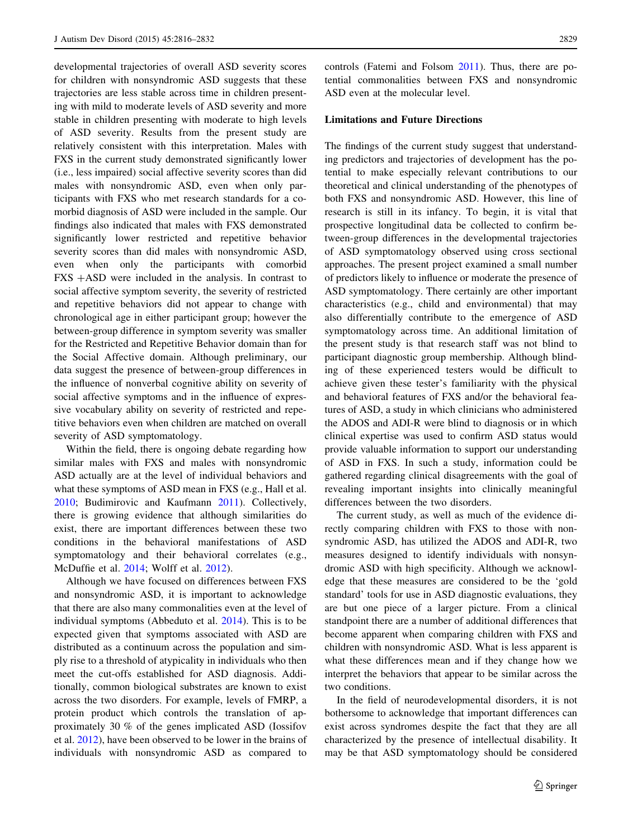developmental trajectories of overall ASD severity scores for children with nonsyndromic ASD suggests that these trajectories are less stable across time in children presenting with mild to moderate levels of ASD severity and more stable in children presenting with moderate to high levels of ASD severity. Results from the present study are relatively consistent with this interpretation. Males with FXS in the current study demonstrated significantly lower (i.e., less impaired) social affective severity scores than did males with nonsyndromic ASD, even when only participants with FXS who met research standards for a comorbid diagnosis of ASD were included in the sample. Our findings also indicated that males with FXS demonstrated significantly lower restricted and repetitive behavior severity scores than did males with nonsyndromic ASD, even when only the participants with comorbid  $FXS + ASD$  were included in the analysis. In contrast to social affective symptom severity, the severity of restricted and repetitive behaviors did not appear to change with chronological age in either participant group; however the between-group difference in symptom severity was smaller for the Restricted and Repetitive Behavior domain than for the Social Affective domain. Although preliminary, our data suggest the presence of between-group differences in the influence of nonverbal cognitive ability on severity of social affective symptoms and in the influence of expressive vocabulary ability on severity of restricted and repetitive behaviors even when children are matched on overall severity of ASD symptomatology.

Within the field, there is ongoing debate regarding how similar males with FXS and males with nonsyndromic ASD actually are at the level of individual behaviors and what these symptoms of ASD mean in FXS (e.g., Hall et al. [2010;](#page-15-0) Budimirovic and Kaufmann [2011\)](#page-15-0). Collectively, there is growing evidence that although similarities do exist, there are important differences between these two conditions in the behavioral manifestations of ASD symptomatology and their behavioral correlates (e.g., McDuffie et al. [2014;](#page-15-0) Wolff et al. [2012\)](#page-16-0).

Although we have focused on differences between FXS and nonsyndromic ASD, it is important to acknowledge that there are also many commonalities even at the level of individual symptoms (Abbeduto et al. [2014\)](#page-14-0). This is to be expected given that symptoms associated with ASD are distributed as a continuum across the population and simply rise to a threshold of atypicality in individuals who then meet the cut-offs established for ASD diagnosis. Additionally, common biological substrates are known to exist across the two disorders. For example, levels of FMRP, a protein product which controls the translation of approximately 30 % of the genes implicated ASD (Iossifov et al. [2012\)](#page-15-0), have been observed to be lower in the brains of individuals with nonsyndromic ASD as compared to controls (Fatemi and Folsom [2011](#page-15-0)). Thus, there are potential commonalities between FXS and nonsyndromic ASD even at the molecular level.

# Limitations and Future Directions

The findings of the current study suggest that understanding predictors and trajectories of development has the potential to make especially relevant contributions to our theoretical and clinical understanding of the phenotypes of both FXS and nonsyndromic ASD. However, this line of research is still in its infancy. To begin, it is vital that prospective longitudinal data be collected to confirm between-group differences in the developmental trajectories of ASD symptomatology observed using cross sectional approaches. The present project examined a small number of predictors likely to influence or moderate the presence of ASD symptomatology. There certainly are other important characteristics (e.g., child and environmental) that may also differentially contribute to the emergence of ASD symptomatology across time. An additional limitation of the present study is that research staff was not blind to participant diagnostic group membership. Although blinding of these experienced testers would be difficult to achieve given these tester's familiarity with the physical and behavioral features of FXS and/or the behavioral features of ASD, a study in which clinicians who administered the ADOS and ADI-R were blind to diagnosis or in which clinical expertise was used to confirm ASD status would provide valuable information to support our understanding of ASD in FXS. In such a study, information could be gathered regarding clinical disagreements with the goal of revealing important insights into clinically meaningful differences between the two disorders.

The current study, as well as much of the evidence directly comparing children with FXS to those with nonsyndromic ASD, has utilized the ADOS and ADI-R, two measures designed to identify individuals with nonsyndromic ASD with high specificity. Although we acknowledge that these measures are considered to be the 'gold standard' tools for use in ASD diagnostic evaluations, they are but one piece of a larger picture. From a clinical standpoint there are a number of additional differences that become apparent when comparing children with FXS and children with nonsyndromic ASD. What is less apparent is what these differences mean and if they change how we interpret the behaviors that appear to be similar across the two conditions.

In the field of neurodevelopmental disorders, it is not bothersome to acknowledge that important differences can exist across syndromes despite the fact that they are all characterized by the presence of intellectual disability. It may be that ASD symptomatology should be considered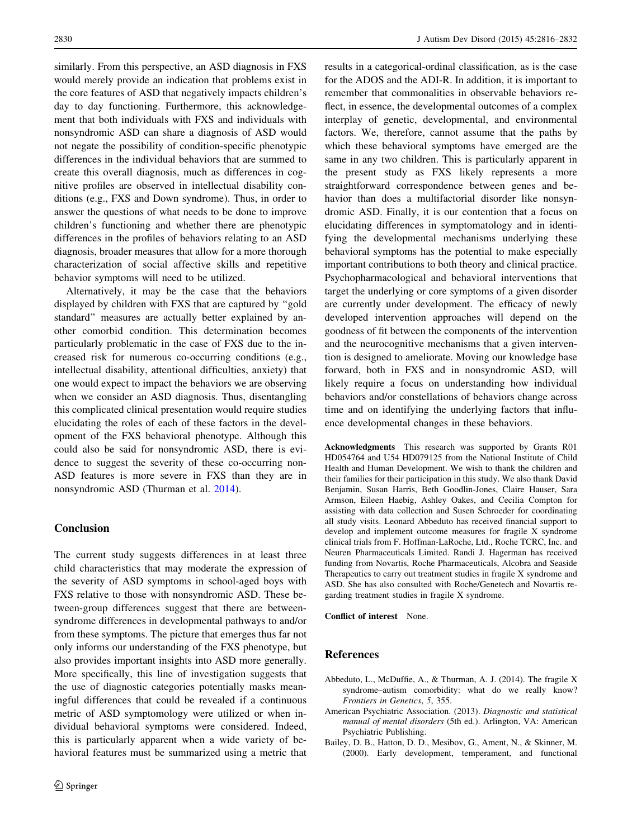<span id="page-14-0"></span>similarly. From this perspective, an ASD diagnosis in FXS would merely provide an indication that problems exist in the core features of ASD that negatively impacts children's day to day functioning. Furthermore, this acknowledgement that both individuals with FXS and individuals with nonsyndromic ASD can share a diagnosis of ASD would not negate the possibility of condition-specific phenotypic differences in the individual behaviors that are summed to create this overall diagnosis, much as differences in cognitive profiles are observed in intellectual disability conditions (e.g., FXS and Down syndrome). Thus, in order to answer the questions of what needs to be done to improve children's functioning and whether there are phenotypic differences in the profiles of behaviors relating to an ASD diagnosis, broader measures that allow for a more thorough characterization of social affective skills and repetitive behavior symptoms will need to be utilized.

Alternatively, it may be the case that the behaviors displayed by children with FXS that are captured by ''gold standard'' measures are actually better explained by another comorbid condition. This determination becomes particularly problematic in the case of FXS due to the increased risk for numerous co-occurring conditions (e.g., intellectual disability, attentional difficulties, anxiety) that one would expect to impact the behaviors we are observing when we consider an ASD diagnosis. Thus, disentangling this complicated clinical presentation would require studies elucidating the roles of each of these factors in the development of the FXS behavioral phenotype. Although this could also be said for nonsyndromic ASD, there is evidence to suggest the severity of these co-occurring non-ASD features is more severe in FXS than they are in nonsyndromic ASD (Thurman et al. [2014\)](#page-16-0).

# Conclusion

The current study suggests differences in at least three child characteristics that may moderate the expression of the severity of ASD symptoms in school-aged boys with FXS relative to those with nonsyndromic ASD. These between-group differences suggest that there are betweensyndrome differences in developmental pathways to and/or from these symptoms. The picture that emerges thus far not only informs our understanding of the FXS phenotype, but also provides important insights into ASD more generally. More specifically, this line of investigation suggests that the use of diagnostic categories potentially masks meaningful differences that could be revealed if a continuous metric of ASD symptomology were utilized or when individual behavioral symptoms were considered. Indeed, this is particularly apparent when a wide variety of behavioral features must be summarized using a metric that results in a categorical-ordinal classification, as is the case for the ADOS and the ADI-R. In addition, it is important to remember that commonalities in observable behaviors reflect, in essence, the developmental outcomes of a complex interplay of genetic, developmental, and environmental factors. We, therefore, cannot assume that the paths by which these behavioral symptoms have emerged are the same in any two children. This is particularly apparent in the present study as FXS likely represents a more straightforward correspondence between genes and behavior than does a multifactorial disorder like nonsyndromic ASD. Finally, it is our contention that a focus on elucidating differences in symptomatology and in identifying the developmental mechanisms underlying these behavioral symptoms has the potential to make especially important contributions to both theory and clinical practice. Psychopharmacological and behavioral interventions that target the underlying or core symptoms of a given disorder are currently under development. The efficacy of newly developed intervention approaches will depend on the goodness of fit between the components of the intervention and the neurocognitive mechanisms that a given intervention is designed to ameliorate. Moving our knowledge base forward, both in FXS and in nonsyndromic ASD, will likely require a focus on understanding how individual behaviors and/or constellations of behaviors change across time and on identifying the underlying factors that influence developmental changes in these behaviors.

Acknowledgments This research was supported by Grants R01 HD054764 and U54 HD079125 from the National Institute of Child Health and Human Development. We wish to thank the children and their families for their participation in this study. We also thank David Benjamin, Susan Harris, Beth Goodlin-Jones, Claire Hauser, Sara Armson, Eileen Haebig, Ashley Oakes, and Cecilia Compton for assisting with data collection and Susen Schroeder for coordinating all study visits. Leonard Abbeduto has received financial support to develop and implement outcome measures for fragile X syndrome clinical trials from F. Hoffman-LaRoche, Ltd., Roche TCRC, Inc. and Neuren Pharmaceuticals Limited. Randi J. Hagerman has received funding from Novartis, Roche Pharmaceuticals, Alcobra and Seaside Therapeutics to carry out treatment studies in fragile X syndrome and ASD. She has also consulted with Roche/Genetech and Novartis regarding treatment studies in fragile X syndrome.

Conflict of interest None.

# References

- Abbeduto, L., McDuffie, A., & Thurman, A. J. (2014). The fragile X syndrome–autism comorbidity: what do we really know? Frontiers in Genetics, 5, 355.
- American Psychiatric Association. (2013). Diagnostic and statistical manual of mental disorders (5th ed.). Arlington, VA: American Psychiatric Publishing.
- Bailey, D. B., Hatton, D. D., Mesibov, G., Ament, N., & Skinner, M. (2000). Early development, temperament, and functional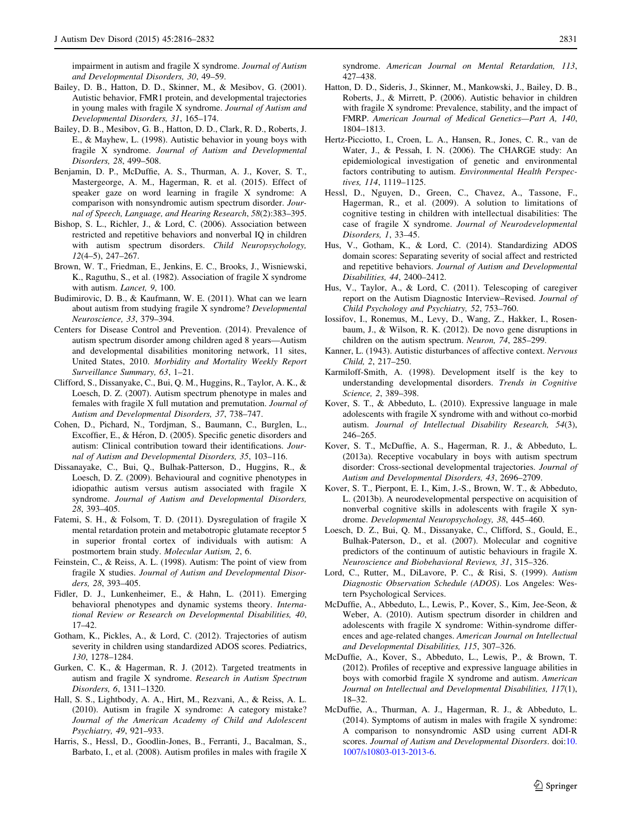<span id="page-15-0"></span>impairment in autism and fragile X syndrome. Journal of Autism and Developmental Disorders, 30, 49–59.

- Bailey, D. B., Hatton, D. D., Skinner, M., & Mesibov, G. (2001). Autistic behavior, FMR1 protein, and developmental trajectories in young males with fragile X syndrome. Journal of Autism and Developmental Disorders, 31, 165–174.
- Bailey, D. B., Mesibov, G. B., Hatton, D. D., Clark, R. D., Roberts, J. E., & Mayhew, L. (1998). Autistic behavior in young boys with fragile X syndrome. Journal of Autism and Developmental Disorders, 28, 499–508.
- Benjamin, D. P., McDuffie, A. S., Thurman, A. J., Kover, S. T., Mastergeorge, A. M., Hagerman, R. et al. (2015). Effect of speaker gaze on word learning in fragile X syndrome: A comparison with nonsyndromic autism spectrum disorder. Journal of Speech, Language, and Hearing Research, 58(2):383–395.
- Bishop, S. L., Richler, J., & Lord, C. (2006). Association between restricted and repetitive behaviors and nonverbal IQ in children with autism spectrum disorders. Child Neuropsychology, 12(4–5), 247–267.
- Brown, W. T., Friedman, E., Jenkins, E. C., Brooks, J., Wisniewski, K., Raguthu, S., et al. (1982). Association of fragile X syndrome with autism. Lancet, 9, 100.
- Budimirovic, D. B., & Kaufmann, W. E. (2011). What can we learn about autism from studying fragile X syndrome? Developmental Neuroscience, 33, 379–394.
- Centers for Disease Control and Prevention. (2014). Prevalence of autism spectrum disorder among children aged 8 years—Autism and developmental disabilities monitoring network, 11 sites, United States, 2010. Morbidity and Mortality Weekly Report Surveillance Summary, 63, 1–21.
- Clifford, S., Dissanyake, C., Bui, Q. M., Huggins, R., Taylor, A. K., & Loesch, D. Z. (2007). Autism spectrum phenotype in males and females with fragile X full mutation and premutation. Journal of Autism and Developmental Disorders, 37, 738–747.
- Cohen, D., Pichard, N., Tordjman, S., Baumann, C., Burglen, L., Excoffier, E., & Héron, D. (2005). Specific genetic disorders and autism: Clinical contribution toward their identifications. Journal of Autism and Developmental Disorders, 35, 103–116.
- Dissanayake, C., Bui, Q., Bulhak-Patterson, D., Huggins, R., & Loesch, D. Z. (2009). Behavioural and cognitive phenotypes in idiopathic autism versus autism associated with fragile X syndrome. Journal of Autism and Developmental Disorders, 28, 393–405.
- Fatemi, S. H., & Folsom, T. D. (2011). Dysregulation of fragile X mental retardation protein and metabotropic glutamate receptor 5 in superior frontal cortex of individuals with autism: A postmortem brain study. Molecular Autism, 2, 6.
- Feinstein, C., & Reiss, A. L. (1998). Autism: The point of view from fragile X studies. Journal of Autism and Developmental Disorders, 28, 393–405.
- Fidler, D. J., Lunkenheimer, E., & Hahn, L. (2011). Emerging behavioral phenotypes and dynamic systems theory. International Review or Research on Developmental Disabilities, 40, 17–42.
- Gotham, K., Pickles, A., & Lord, C. (2012). Trajectories of autism severity in children using standardized ADOS scores. Pediatrics, 130, 1278–1284.
- Gurken, C. K., & Hagerman, R. J. (2012). Targeted treatments in autism and fragile X syndrome. Research in Autism Spectrum Disorders, 6, 1311–1320.
- Hall, S. S., Lightbody, A. A., Hirt, M., Rezvani, A., & Reiss, A. L. (2010). Autism in fragile X syndrome: A category mistake? Journal of the American Academy of Child and Adolescent Psychiatry, 49, 921–933.
- Harris, S., Hessl, D., Goodlin-Jones, B., Ferranti, J., Bacalman, S., Barbato, I., et al. (2008). Autism profiles in males with fragile X

syndrome. American Journal on Mental Retardation, 113, 427–438.

- Hatton, D. D., Sideris, J., Skinner, M., Mankowski, J., Bailey, D. B., Roberts, J., & Mirrett, P. (2006). Autistic behavior in children with fragile X syndrome: Prevalence, stability, and the impact of FMRP. American Journal of Medical Genetics—Part A, 140, 1804–1813.
- Hertz-Picciotto, I., Croen, L. A., Hansen, R., Jones, C. R., van de Water, J., & Pessah, I. N. (2006). The CHARGE study: An epidemiological investigation of genetic and environmental factors contributing to autism. Environmental Health Perspectives, 114, 1119–1125.
- Hessl, D., Nguyen, D., Green, C., Chavez, A., Tassone, F., Hagerman, R., et al. (2009). A solution to limitations of cognitive testing in children with intellectual disabilities: The case of fragile X syndrome. Journal of Neurodevelopmental Disorders, 1, 33–45.
- Hus, V., Gotham, K., & Lord, C. (2014). Standardizing ADOS domain scores: Separating severity of social affect and restricted and repetitive behaviors. Journal of Autism and Developmental Disabilities, 44, 2400–2412.
- Hus, V., Taylor, A., & Lord, C. (2011). Telescoping of caregiver report on the Autism Diagnostic Interview–Revised. Journal of Child Psychology and Psychiatry, 52, 753–760.
- Iossifov, I., Ronemus, M., Levy, D., Wang, Z., Hakker, I., Rosenbaum, J., & Wilson, R. K. (2012). De novo gene disruptions in children on the autism spectrum. Neuron, 74, 285–299.
- Kanner, L. (1943). Autistic disturbances of affective context. Nervous Child, 2, 217–250.
- Karmiloff-Smith, A. (1998). Development itself is the key to understanding developmental disorders. Trends in Cognitive Science, 2, 389–398.
- Kover, S. T., & Abbeduto, L. (2010). Expressive language in male adolescents with fragile X syndrome with and without co-morbid autism. Journal of Intellectual Disability Research, 54(3), 246–265.
- Kover, S. T., McDuffie, A. S., Hagerman, R. J., & Abbeduto, L. (2013a). Receptive vocabulary in boys with autism spectrum disorder: Cross-sectional developmental trajectories. Journal of Autism and Developmental Disorders, 43, 2696–2709.
- Kover, S. T., Pierpont, E. I., Kim, J.-S., Brown, W. T., & Abbeduto, L. (2013b). A neurodevelopmental perspective on acquisition of nonverbal cognitive skills in adolescents with fragile X syndrome. Developmental Neuropsychology, 38, 445–460.
- Loesch, D. Z., Bui, Q. M., Dissanyake, C., Clifford, S., Gould, E., Bulhak-Paterson, D., et al. (2007). Molecular and cognitive predictors of the continuum of autistic behaviours in fragile X. Neuroscience and Biobehavioral Reviews, 31, 315–326.
- Lord, C., Rutter, M., DiLavore, P. C., & Risi, S. (1999). Autism Diagnostic Observation Schedule (ADOS). Los Angeles: Western Psychological Services.
- McDuffie, A., Abbeduto, L., Lewis, P., Kover, S., Kim, Jee-Seon, & Weber, A. (2010). Autism spectrum disorder in children and adolescents with fragile X syndrome: Within-syndrome differences and age-related changes. American Journal on Intellectual and Developmental Disabilities, 115, 307–326.
- McDuffie, A., Kover, S., Abbeduto, L., Lewis, P., & Brown, T. (2012). Profiles of receptive and expressive language abilities in boys with comorbid fragile X syndrome and autism. American Journal on Intellectual and Developmental Disabilities, 117(1), 18–32.
- McDuffie, A., Thurman, A. J., Hagerman, R. J., & Abbeduto, L. (2014). Symptoms of autism in males with fragile X syndrome: A comparison to nonsyndromic ASD using current ADI-R scores. Journal of Autism and Developmental Disorders. doi:[10.](http://dx.doi.org/10.1007/s10803-013-2013-6) [1007/s10803-013-2013-6](http://dx.doi.org/10.1007/s10803-013-2013-6).